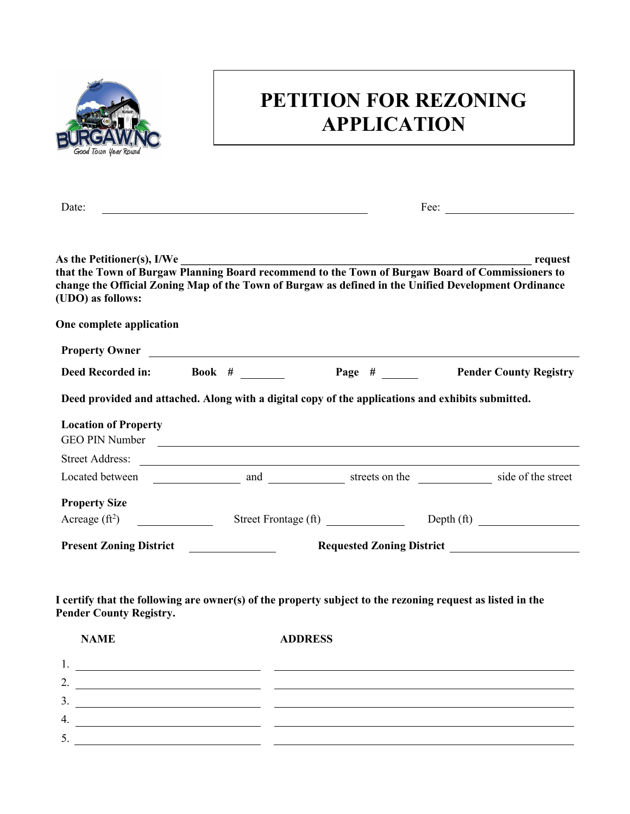

## **PETITION FOR REZONING APPLICATION**

|                                |  | Fee: $\qquad \qquad$                                                                                                                                                                                                                                                                                                                                                                                                                                                                                                                                                               |
|--------------------------------|--|------------------------------------------------------------------------------------------------------------------------------------------------------------------------------------------------------------------------------------------------------------------------------------------------------------------------------------------------------------------------------------------------------------------------------------------------------------------------------------------------------------------------------------------------------------------------------------|
| As the Petitioner(s), I/We     |  | request                                                                                                                                                                                                                                                                                                                                                                                                                                                                                                                                                                            |
| One complete application       |  |                                                                                                                                                                                                                                                                                                                                                                                                                                                                                                                                                                                    |
|                                |  |                                                                                                                                                                                                                                                                                                                                                                                                                                                                                                                                                                                    |
|                                |  | <b>Page #</b> Pender County Registry                                                                                                                                                                                                                                                                                                                                                                                                                                                                                                                                               |
|                                |  |                                                                                                                                                                                                                                                                                                                                                                                                                                                                                                                                                                                    |
|                                |  |                                                                                                                                                                                                                                                                                                                                                                                                                                                                                                                                                                                    |
|                                |  |                                                                                                                                                                                                                                                                                                                                                                                                                                                                                                                                                                                    |
|                                |  |                                                                                                                                                                                                                                                                                                                                                                                                                                                                                                                                                                                    |
|                                |  |                                                                                                                                                                                                                                                                                                                                                                                                                                                                                                                                                                                    |
|                                |  |                                                                                                                                                                                                                                                                                                                                                                                                                                                                                                                                                                                    |
| <b>Pender County Registry.</b> |  |                                                                                                                                                                                                                                                                                                                                                                                                                                                                                                                                                                                    |
|                                |  |                                                                                                                                                                                                                                                                                                                                                                                                                                                                                                                                                                                    |
|                                |  |                                                                                                                                                                                                                                                                                                                                                                                                                                                                                                                                                                                    |
|                                |  |                                                                                                                                                                                                                                                                                                                                                                                                                                                                                                                                                                                    |
| 2. $\qquad \qquad$             |  |                                                                                                                                                                                                                                                                                                                                                                                                                                                                                                                                                                                    |
|                                |  |                                                                                                                                                                                                                                                                                                                                                                                                                                                                                                                                                                                    |
|                                |  | that the Town of Burgaw Planning Board recommend to the Town of Burgaw Board of Commissioners to<br>change the Official Zoning Map of the Town of Burgaw as defined in the Unified Development Ordinance<br>Property Owner<br>Deed Recorded in: Book # ______<br>Deed provided and attached. Along with a digital copy of the applications and exhibits submitted.<br>GEO PIN Number<br>Street Frontage (ft) Depth (ft)<br>Present Zoning District<br>I certify that the following are owner(s) of the property subject to the rezoning request as listed in the<br><b>ADDRESS</b> |